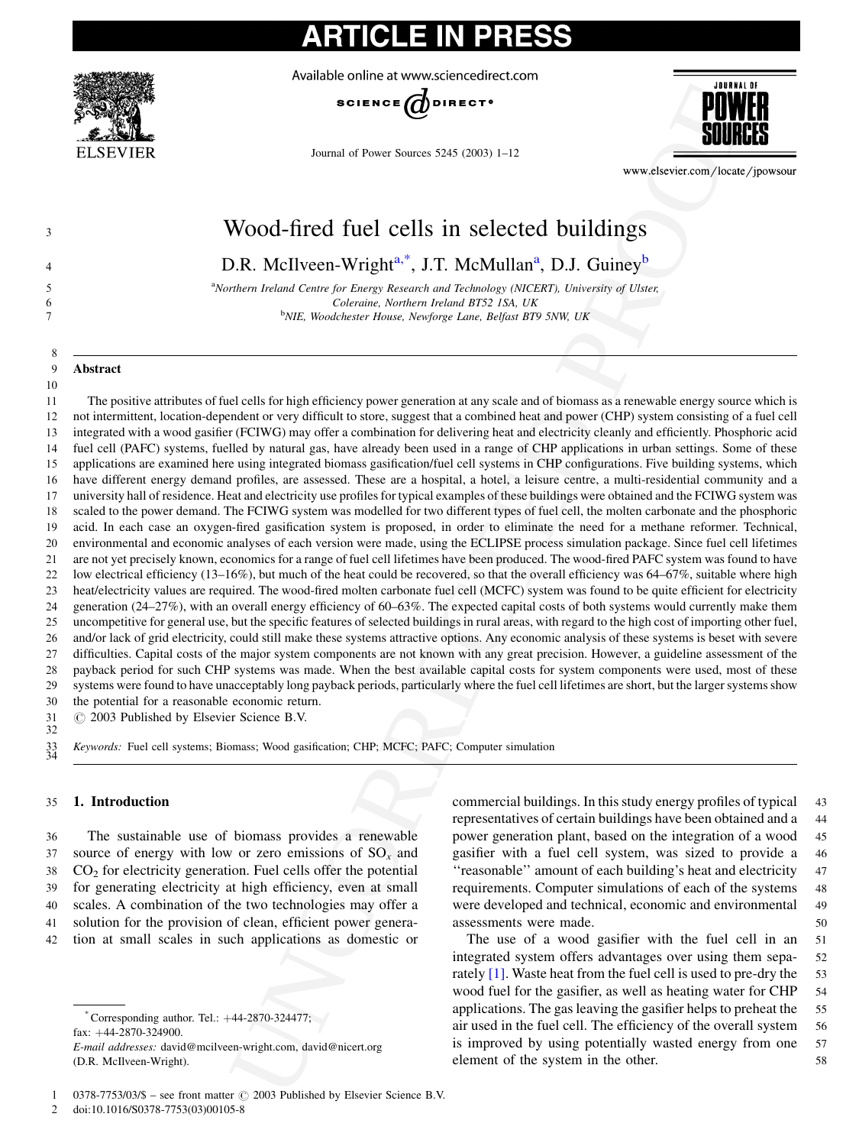

TICLE IN PR



Journal of Power Sources 5245 (2003) 1–12



# 3 Wood-fired fuel cells in selected buildings 4 D.R. McIlveen-Wright<sup>a,\*</sup>, J.T. McMullan<sup>a</sup>, D.J. Guiney<sup>b</sup>  $5$  as a set of  $\overline{5}$ <sup>a</sup>Northern Ireland Centre for Energy Research and Technology (NICERT), University of Ulster, 6 Coleraine, Northern Ireland BT52 1SA, UK  $7$  b <sup>b</sup>NIE, Woodchester House, Newforge Lane, Belfast BT9 5NW, UK 8 9 Abstract 10 11 The positive attributes of fuel cells for high efficiency power generation at any scale and of biomass as a renewable energy source which is 12 not intermittent, location-dependent or very difficult to store, suggest that a combined heat and power (CHP) system consisting of a fuel cell

**EXAMPLE CONSULTER SECTION CONSULTING SECTION CONSULTING SECTION CONSULTING SECTION CONSULTING SECTION CONSULTING SECTION CONSULTING SECTION CONSULTING SECTION CONSULTING SECTION CONSULTING SECTION CONSULTING SECTION CONS**  integrated with a wood gasifier (FCIWG) may offer a combination for delivering heat and electricity cleanly and efficiently. Phosphoric acid fuel cell (PAFC) systems, fuelled by natural gas, have already been used in a range of CHP applications in urban settings. Some of these applications are examined here using integrated biomass gasification/fuel cell systems in CHP configurations. Five building systems, which have different energy demand profiles, are assessed. These are a hospital, a hotel, a leisure centre, a multi-residential community and a university hall of residence. Heat and electricity use profiles for typical examples of these buildings were obtained and the FCIWG system was scaled to the power demand. The FCIWG system was modelled for two different types of fuel cell, the molten carbonate and the phosphoric acid. In each case an oxygen-fired gasification system is proposed, in order to eliminate the need for a methane reformer. Technical, environmental and economic analyses of each version were made, using the ECLIPSE process simulation package. Since fuel cell lifetimes are not yet precisely known, economics for a range of fuel cell lifetimes have been produced. The wood-fired PAFC system was found to have 22 low electrical efficiency (13–16%), but much of the heat could be recovered, so that the overall efficiency was 64–67%, suitable where high heat/electricity values are required. The wood-fired molten carbonate fuel cell (MCFC) system was found to be quite efficient for electricity generation (24–27%), with an overall energy efficiency of 60–63%. The expected capital costs of both systems would currently make them uncompetitive for general use, but the specific features of selected buildings in rural areas, with regard to the high cost of importing other fuel, and/or lack of grid electricity, could still make these systems attractive options. Any economic analysis of these systems is beset with severe difficulties. Capital costs of the major system components are not known with any great precision. However, a guideline assessment of the payback period for such CHP systems was made. When the best available capital costs for system components were used, most of these systems were found to have unacceptably long payback periods, particularly where the fuel cell lifetimes are short, but the larger systems show the potential for a reasonable economic return.

31 # 2003 Published by Elsevier Science B.V. 32

<sup>33</sup> Keywords: Fuel cell systems; Biomass; Wood gasification; CHP; MCFC; PAFC; Computer simulation <sup>34</sup>

### 35 1. Introduction

 The sustainable use of biomass provides a renewable 37 source of energy with low or zero emissions of  $SO_x$  and CO<sub>2</sub> for electricity generation. Fuel cells offer the potential for generating electricity at high efficiency, even at small scales. A combination of the two technologies may offer a solution for the provision of clean, efficient power genera-tion at small scales in such applications as domestic or

 $^{\circ}$  Corresponding author. Tel.:  $+44-2870-324477$ ; fax:  $+44-2870-324900$ . E-mail addresses: david@mcilveen-wright.com, david@nicert.org (D.R. McIlveen-Wright).

commercial buildings. In this study energy profiles of typical 43 representatives of certain buildings have been obtained and a 44 power generation plant, based on the integration of a wood 45 gasifier with a fuel cell system, was sized to provide a 46 ''reasonable'' amount of each building's heat and electricity 47 requirements. Computer simulations of each of the systems 48 were developed and technical, economic and environmental 49 assessments were made. 50

The use of a wood gasifier with the fuel cell in an 51 integrated system offers advantages over using them sepa- 52 rately  $[1]$ . Waste heat from the fuel cell is used to pre-dry the 53 wood fuel for the gasifier, as well as heating water for CHP 54 applications. The gas leaving the gasifier helps to preheat the 55 air used in the fuel cell. The efficiency of the overall system 56 is improved by using potentially wasted energy from one 57 element of the system in the other. 58

2 doi:10.1016/S0378-7753(03)00105-8

 $0378-7753/03/\$$  – see front matter  $\odot$  2003 Published by Elsevier Science B.V.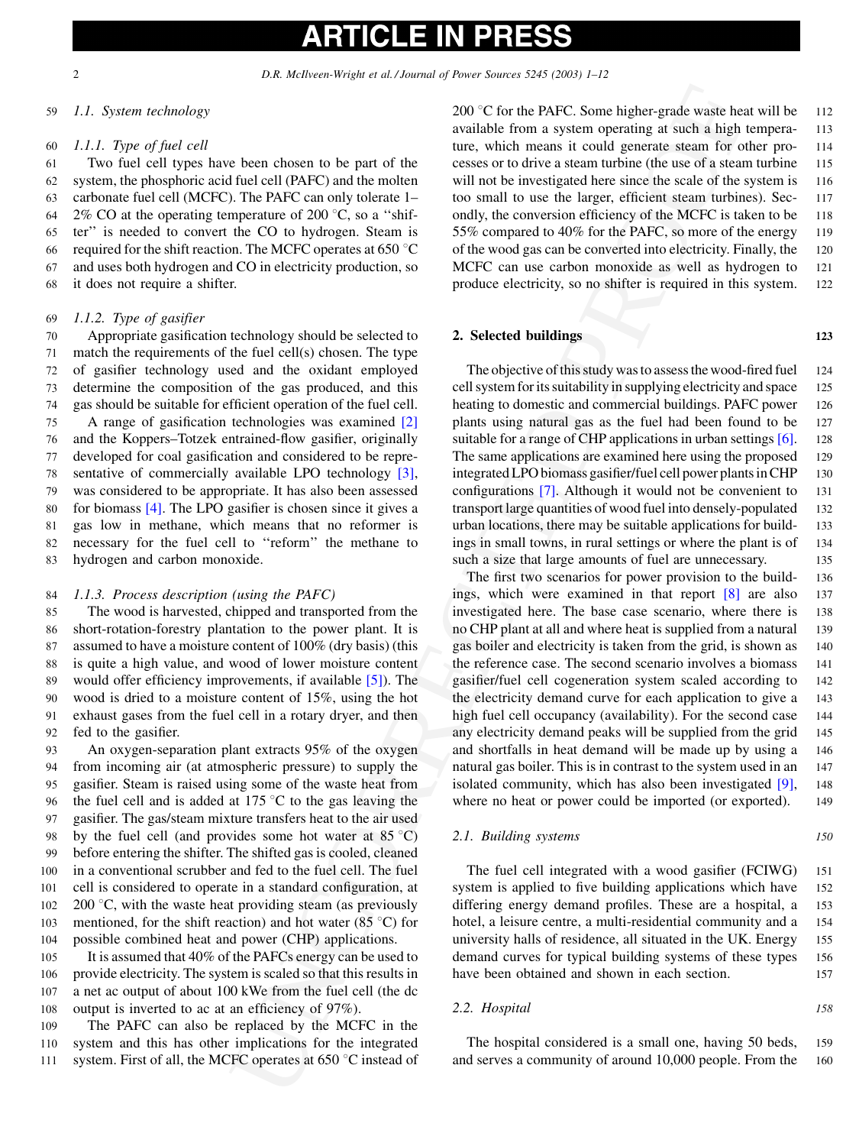# **ARTICLE IN PRESS**

2 D.R. McIlveen-Wright et al. / Journal of Power Sources 5245 (2003) 1–12

### 59 1.1. System technology

### 60 1.1.1. Type of fuel cell

 Two fuel cell types have been chosen to be part of the system, the phosphoric acid fuel cell (PAFC) and the molten carbonate fuel cell (MCFC). The PAFC can only tolerate 1– 64 2% CO at the operating temperature of 200  $\degree$ C, so a "shif- ter'' is needed to convert the CO to hydrogen. Steam is 66 required for the shift reaction. The MCFC operates at 650  $\degree$ C and uses both hydrogen and CO in electricity production, so it does not require a shifter.

### 69 1.1.2. Type of gasifier

 Appropriate gasification technology should be selected to match the requirements of the fuel cell(s) chosen. The type of gasifier technology used and the oxidant employed determine the composition of the gas produced, and this gas should be suitable for efficient operation of the fuel cell. A range of gasification technologies was examined [2] and the Koppers–Totzek entrained-flow gasifier, originally developed for coal gasification and considered to be repre- sentative of commercially available LPO technology [3], was considered to be appropriate. It has also been assessed for biomass [\[4\]](#page-11-0). The LPO gasifier is chosen since it gives a gas low in methane, which means that no reformer is necessary for the fuel cell to ''reform'' the methane to hydrogen and carbon monoxide.

### 84 1.1.3. Process description (using the PAFC)

 The wood is harvested, chipped and transported from the short-rotation-forestry plantation to the power plant. It is assumed to have a moisture content of 100% (dry basis) (this is quite a high value, and wood of lower moisture content would offer efficiency improvements, if available [5]). The wood is dried to a moisture content of 15%, using the hot exhaust gases from the fuel cell in a rotary dryer, and then fed to the gasifier.

 An oxygen-separation plant extracts 95% of the oxygen from incoming air (at atmospheric pressure) to supply the gasifier. Steam is raised using some of the waste heat from 96 the fuel cell and is added at 175  $\degree$ C to the gas leaving the gasifier. The gas/steam mixture transfers heat to the air used 98 by the fuel cell (and provides some hot water at  $85^{\circ}$ C) before entering the shifter. The shifted gas is cooled, cleaned in a conventional scrubber and fed to the fuel cell. The fuel cell is considered to operate in a standard configuration, at 102 200 °C, with the waste heat providing steam (as previously 103 mentioned, for the shift reaction) and hot water (85  $\degree$ C) for possible combined heat and power (CHP) applications.

 It is assumed that 40% of the PAFCs energy can be used to provide electricity. The system is scaled so that this results in a net ac output of about 100 kWe from the fuel cell (the dc output is inverted to ac at an efficiency of 97%).

109 The PAFC can also be replaced by the MCFC in the 110 system and this has other implications for the integrated 111 system. First of all, the MCFC operates at  $650^{\circ}$ C instead of 200 °C for the PAFC. Some higher-grade waste heat will be  $112$ available from a system operating at such a high tempera- 113 ture, which means it could generate steam for other pro- 114 cesses or to drive a steam turbine (the use of a steam turbine 115 will not be investigated here since the scale of the system is 116 too small to use the larger, efficient steam turbines). Sec- 117 ondly, the conversion efficiency of the MCFC is taken to be 118 55% compared to 40% for the PAFC, so more of the energy 119 of the wood gas can be converted into electricity. Finally, the 120 MCFC can use carbon monoxide as well as hydrogen to 121 produce electricity, so no shifter is required in this system. 122

### 2. Selected buildings 123

The objective of this study was to assess the wood-fired fuel 124 cell system for its suitability in supplying electricity and space 125 heating to domestic and commercial buildings. PAFC power 126 plants using natural gas as the fuel had been found to be 127 suitable for a range of CHP applications in urban settings  $[6]$ . 128 The same applications are examined here using the proposed 129 integrated LPO biomass gasifier/fuel cell power plants in CHP 130 configurations [7]. Although it would not be convenient to 131 transport large quantities of wood fuel into densely-populated 132 urban locations, there may be suitable applications for build- 133 ings in small towns, in rural settings or where the plant is of 134 such a size that large amounts of fuel are unnecessary. 135

200 °C for the PAI<sup>C</sup>. Some higher-grade waste her easien for the sample from a yester note that the consistent and higher and higher and higher the constrained in the law of the sample of the sample of the sample of the The first two scenarios for power provision to the build-<br>136 ings, which were examined in that report [8] are also 137 investigated here. The base case scenario, where there is 138 no CHP plant at all and where heat is supplied from a natural 139 gas boiler and electricity is taken from the grid, is shown as 140 the reference case. The second scenario involves a biomass 141 gasifier/fuel cell cogeneration system scaled according to 142 the electricity demand curve for each application to give a 143 high fuel cell occupancy (availability). For the second case 144 any electricity demand peaks will be supplied from the grid 145 and shortfalls in heat demand will be made up by using a 146 natural gas boiler. This is in contrast to the system used in an 147 isolated community, which has also been investigated  $[9]$ , 148 where no heat or power could be imported (or exported). 149

# 2.1. Building systems 150

The fuel cell integrated with a wood gasifier (FCIWG) 151 system is applied to five building applications which have 152 differing energy demand profiles. These are a hospital, a 153 hotel, a leisure centre, a multi-residential community and a 154 university halls of residence, all situated in the UK. Energy 155 demand curves for typical building systems of these types 156 have been obtained and shown in each section. 157

2.2. Hospital 158

The hospital considered is a small one, having 50 beds, 159 and serves a community of around 10,000 people. From the 160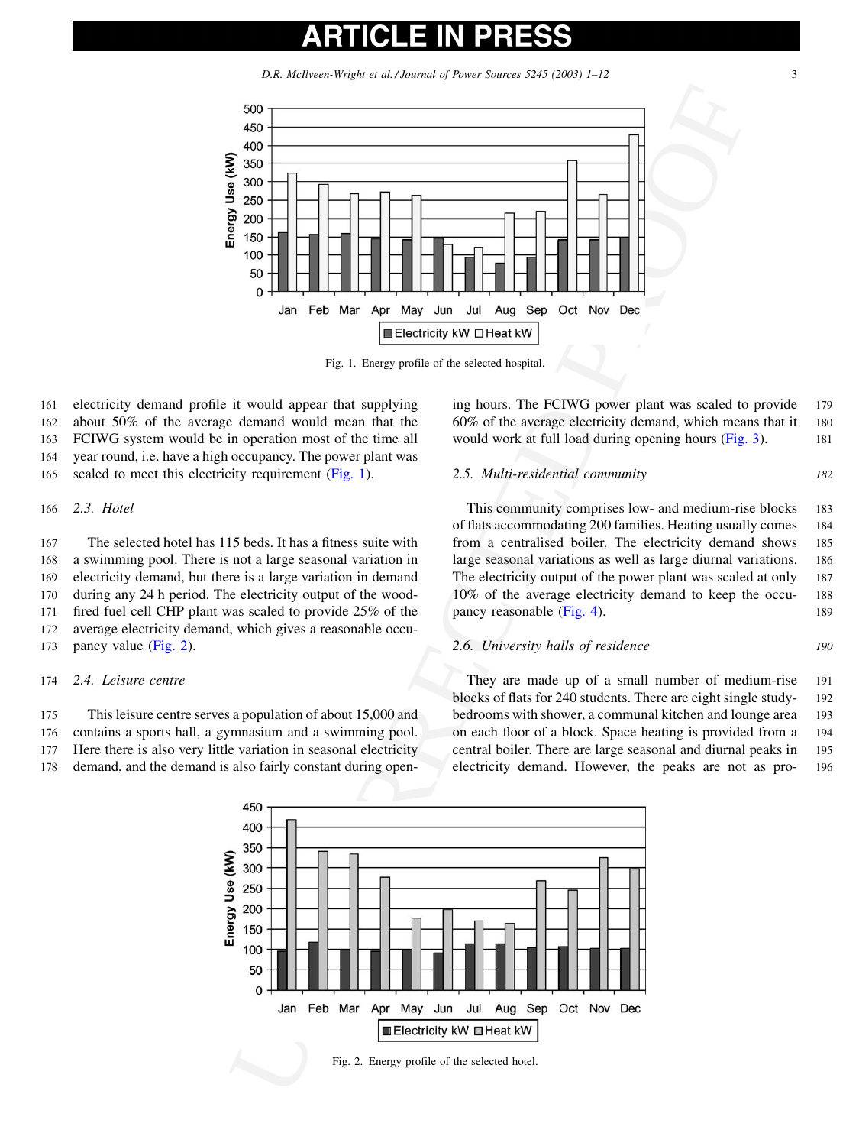D.R. McIlveen-Wright et al. / Journal of Power Sources 5245 (2003) 1–12 3



Fig. 1. Energy profile of the selected hospital.

 electricity demand profile it would appear that supplying about 50% of the average demand would mean that the FCIWG system would be in operation most of the time all year round, i.e. have a high occupancy. The power plant was 165 scaled to meet this electricity requirement (Fig. 1).

166 2.3. Hotel

 The selected hotel has 115 beds. It has a fitness suite with a swimming pool. There is not a large seasonal variation in electricity demand, but there is a large variation in demand during any 24 h period. The electricity output of the wood- fired fuel cell CHP plant was scaled to provide 25% of the average electricity demand, which gives a reasonable occu-pancy value (Fig. 2).

### 174 2.4. Leisure centre

 This leisure centre serves a population of about 15,000 and contains a sports hall, a gymnasium and a swimming pool. Here there is also very little variation in seasonal electricity demand, and the demand is also fairly constant during opening hours. The FCIWG power plant was scaled to provide 179 60% of the average electricity demand, which means that it 180 would work at full load during opening hours [\(Fig. 3\)](#page-3-0). 181

### 2.5. Multi-residential community 182

This community comprises low- and medium-rise blocks 183 of flats accommodating 200 families. Heating usually comes 184 from a centralised boiler. The electricity demand shows 185 large seasonal variations as well as large diurnal variations. 186 The electricity output of the power plant was scaled at only 187 10% of the average electricity demand to keep the occu- 188 pancy reasonable (Fig. 4). 189

### 2.6. University halls of residence 190

They are made up of a small number of medium-rise 191 blocks of flats for 240 students. There are eight single study- 192 bedrooms with shower, a communal kitchen and lounge area 193 on each floor of a block. Space heating is provided from a 194 central boiler. There are large seasonal and diurnal peaks in 195 electricity demand. However, the peaks are not as pro- 196



Fig. 2. Energy profile of the selected hotel.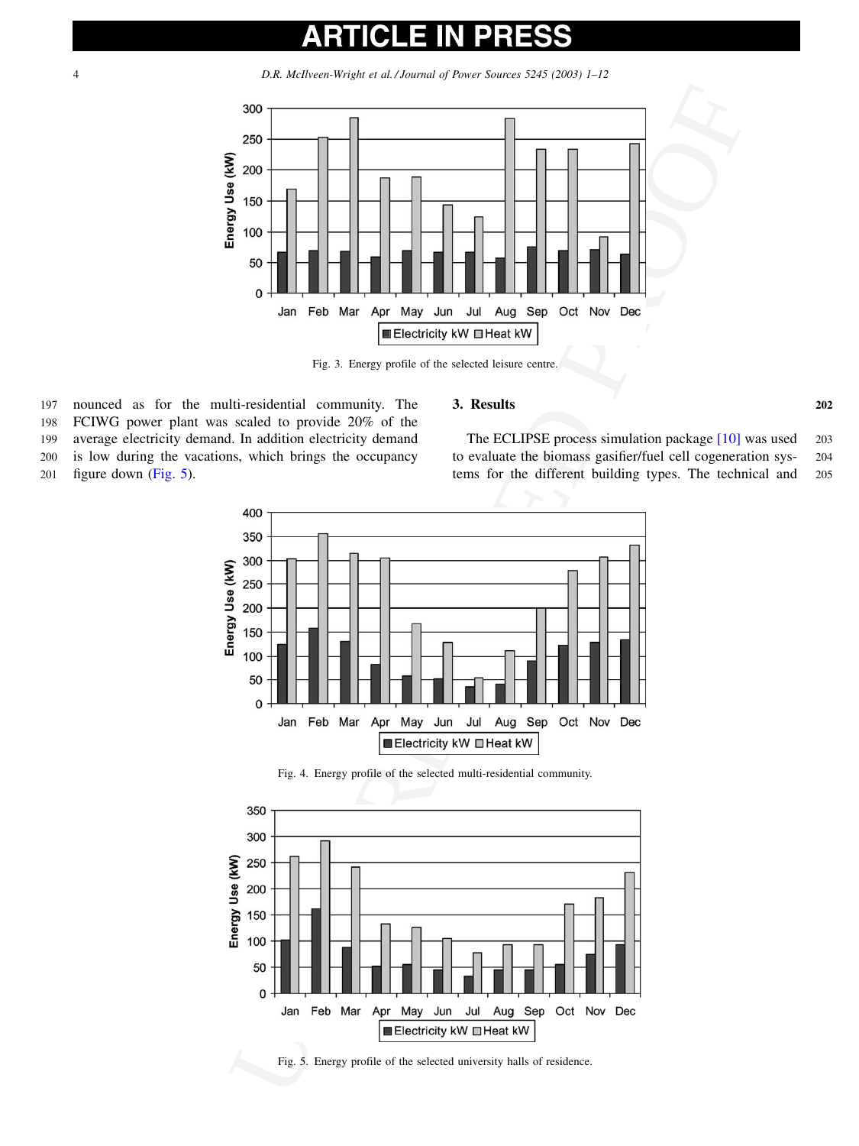<span id="page-3-0"></span>4 D.R. McIlveen-Wright et al. / Journal of Power Sources 5245 (2003) 1–12



Fig. 3. Energy profile of the selected leisure centre.

 nounced as for the multi-residential community. The FCIWG power plant was scaled to provide 20% of the average electricity demand. In addition electricity demand is low during the vacations, which brings the occupancy

201 figure down (Fig. 5).

### 3. Results 202

The ECLIPSE process simulation package [10] was used 203 to evaluate the biomass gasifier/fuel cell cogeneration sys- 204 tems for the different building types. The technical and 205



Fig. 4. Energy profile of the selected multi-residential community.



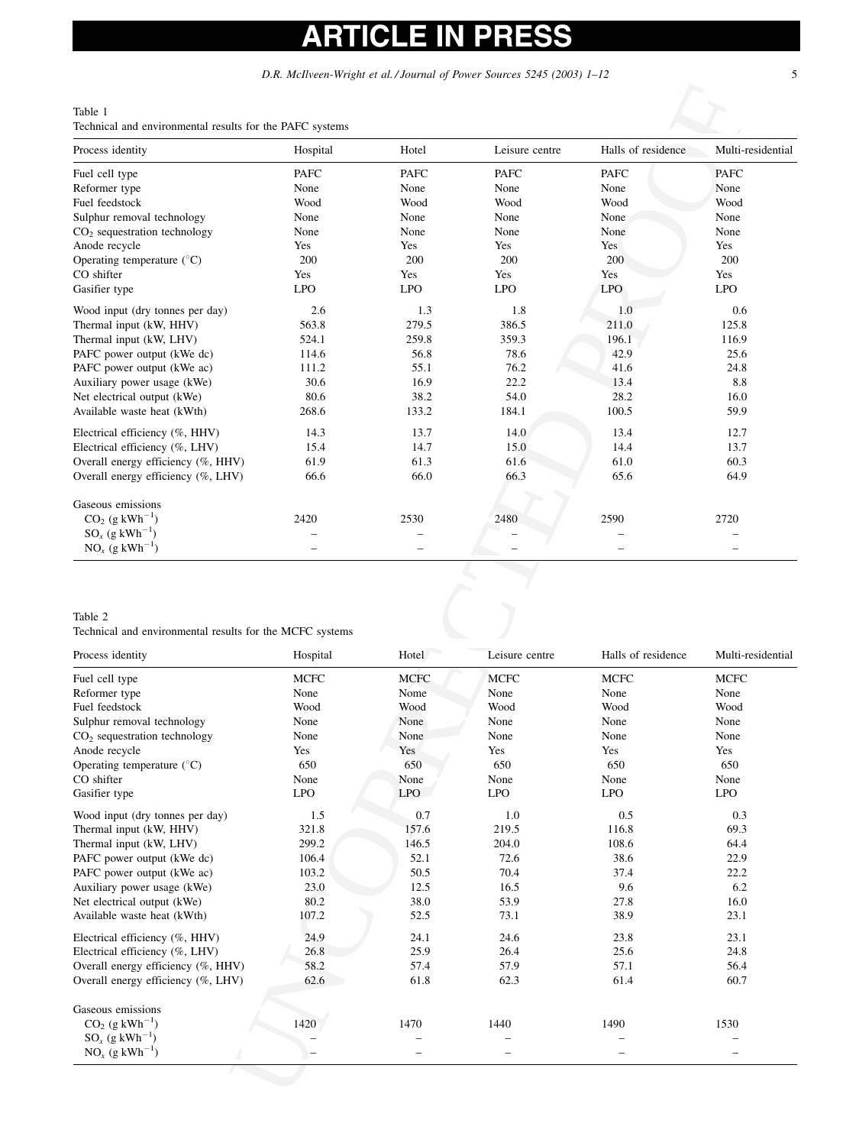### **SS ARTICLE IN** PR

D.R. McIlveen-Wright et al. / Journal of Power Sources 5245 (2003) 1–12 5

### Table 1

| Process identity                    | Hospital   | Hotel       | Leisure centre | Halls of residence | Multi-residential |
|-------------------------------------|------------|-------------|----------------|--------------------|-------------------|
| Fuel cell type                      | PAFC       | <b>PAFC</b> | <b>PAFC</b>    | PAFC               | <b>PAFC</b>       |
| Reformer type                       | None       | None        | None           | None               | None              |
| Fuel feedstock                      | Wood       | Wood        | Wood           | Wood               | Wood              |
| Sulphur removal technology          | None       | None        | None           | None               | None              |
| $CO2$ sequestration technology      | None       | None        | None           | None               | None              |
| Anode recycle                       | Yes        | Yes         | Yes            | Yes                | Yes               |
| Operating temperature $(^{\circ}C)$ | 200        | 200         | 200            | 200                | 200               |
| CO shifter                          | Yes        | Yes         | Yes            | Yes                | Yes               |
| Gasifier type                       | <b>LPO</b> | <b>LPO</b>  | <b>LPO</b>     | <b>LPO</b>         | <b>LPO</b>        |
| Wood input (dry tonnes per day)     | 2.6        | 1.3         | 1.8            | 1.0                | 0.6               |
| Thermal input (kW, HHV)             | 563.8      | 279.5       | 386.5          | 211.0              | 125.8             |
| Thermal input (kW, LHV)             | 524.1      | 259.8       | 359.3          | 196.1              | 116.9             |
| PAFC power output (kWe dc)          | 114.6      | 56.8        | 78.6           | 42.9               | 25.6              |
| PAFC power output (kWe ac)          | 111.2      | 55.1        | 76.2           | 41.6               | 24.8              |
| Auxiliary power usage (kWe)         | 30.6       | 16.9        | 22.2           | 13.4               | 8.8               |
| Net electrical output (kWe)         | 80.6       | 38.2        | 54.0           | 28.2               | 16.0              |
| Available waste heat (kWth)         | 268.6      | 133.2       | 184.1          | 100.5              | 59.9              |
| Electrical efficiency (%, HHV)      | 14.3       | 13.7        | 14.0           | 13.4               | 12.7              |
| Electrical efficiency (%, LHV)      | 15.4       | 14.7        | 15.0           | 14.4               | 13.7              |
| Overall energy efficiency (%, HHV)  | 61.9       | 61.3        | 61.6           | 61.0               | 60.3              |
| Overall energy efficiency (%, LHV)  | 66.6       | 66.0        | 66.3           | 65.6               | 64.9              |
| Gaseous emissions                   |            |             |                |                    |                   |
| $CO_2$ (g kWh <sup>-1</sup> )       | 2420       | 2530        | 2480           | 2590               | 2720              |
| $SO_x$ (g kWh <sup>-1</sup> )       |            |             |                |                    |                   |
| $NOx$ (g kWh <sup>-1</sup> )        |            |             |                |                    |                   |

### Table 2

<span id="page-4-0"></span>

| Process identity                                                                                                                                                                                                                                                                                                                                                                                                                                                                                                                                                         | Hospital          | Hotel             | Leisure centre    | Halls of residence | Multi-residential         |
|--------------------------------------------------------------------------------------------------------------------------------------------------------------------------------------------------------------------------------------------------------------------------------------------------------------------------------------------------------------------------------------------------------------------------------------------------------------------------------------------------------------------------------------------------------------------------|-------------------|-------------------|-------------------|--------------------|---------------------------|
| Fuel cell type                                                                                                                                                                                                                                                                                                                                                                                                                                                                                                                                                           | PAFC              | PAFC              | <b>PAFC</b>       | PAFC               | PAFC                      |
| Reformer type                                                                                                                                                                                                                                                                                                                                                                                                                                                                                                                                                            | None              | None              | None              | None               | None                      |
| Fuel feedstock                                                                                                                                                                                                                                                                                                                                                                                                                                                                                                                                                           | Wood              | Wood              | Wood              | Wood               | Wood                      |
| Sulphur removal technology                                                                                                                                                                                                                                                                                                                                                                                                                                                                                                                                               | None              | None              | None              | None               | None                      |
| $CO2$ sequestration technology                                                                                                                                                                                                                                                                                                                                                                                                                                                                                                                                           | None              | None              | None              | None               | None                      |
| Anode recycle                                                                                                                                                                                                                                                                                                                                                                                                                                                                                                                                                            | Yes               | Yes               | Yes               | Yes                | Yes                       |
| Operating temperature $(^{\circ}C)$                                                                                                                                                                                                                                                                                                                                                                                                                                                                                                                                      | 200               | 200               | 200               | 200                | 200                       |
| CO shifter<br>Gasifier type                                                                                                                                                                                                                                                                                                                                                                                                                                                                                                                                              | Yes<br><b>LPO</b> | Yes<br><b>LPO</b> | Yes<br><b>LPO</b> | Yes<br><b>LPO</b>  | Yes<br><b>LPO</b>         |
| Wood input (dry tonnes per day)                                                                                                                                                                                                                                                                                                                                                                                                                                                                                                                                          | 2.6               | 1.3               | 1.8               | 1.0                | 0.6                       |
| Thermal input (kW, HHV)                                                                                                                                                                                                                                                                                                                                                                                                                                                                                                                                                  | 563.8             | 279.5             | 386.5             | 211.0              | 125.8                     |
| Thermal input (kW, LHV)                                                                                                                                                                                                                                                                                                                                                                                                                                                                                                                                                  | 524.1             | 259.8             | 359.3             | 196.1              | 116.9                     |
| PAFC power output (kWe dc)                                                                                                                                                                                                                                                                                                                                                                                                                                                                                                                                               | 114.6             | 56.8              | 78.6              | 42.9               | 25.6                      |
| PAFC power output (kWe ac)                                                                                                                                                                                                                                                                                                                                                                                                                                                                                                                                               | 111.2             | 55.1              | 76.2              | 41.6               | 24.8                      |
| Auxiliary power usage (kWe)                                                                                                                                                                                                                                                                                                                                                                                                                                                                                                                                              | 30.6              | 16.9              | 22.2              | 13.4               | 8.8                       |
| Net electrical output (kWe)                                                                                                                                                                                                                                                                                                                                                                                                                                                                                                                                              | 80.6              | 38.2              | 54.0              | 28.2               | 16.0                      |
| Available waste heat (kWth)                                                                                                                                                                                                                                                                                                                                                                                                                                                                                                                                              | 268.6             | 133.2             | 184.1             | 100.5              | 59.9                      |
| Electrical efficiency (%, HHV)                                                                                                                                                                                                                                                                                                                                                                                                                                                                                                                                           | 14.3              | 13.7              | 14.0              | 13.4               | 12.7                      |
| Electrical efficiency (%, LHV)                                                                                                                                                                                                                                                                                                                                                                                                                                                                                                                                           | 15.4              | 14.7              | 15.0              | 14.4               | 13.7                      |
| Overall energy efficiency (%, HHV)                                                                                                                                                                                                                                                                                                                                                                                                                                                                                                                                       | 61.9              | 61.3              | 61.6              | 61.0               | 60.3                      |
| Overall energy efficiency (%, LHV)                                                                                                                                                                                                                                                                                                                                                                                                                                                                                                                                       | 66.6              | 66.0              | 66.3              | 65.6               | 64.9                      |
| Gaseous emissions                                                                                                                                                                                                                                                                                                                                                                                                                                                                                                                                                        |                   |                   |                   |                    |                           |
| $CO_2$ (g kWh <sup>-1</sup> )                                                                                                                                                                                                                                                                                                                                                                                                                                                                                                                                            | 2420              | 2530              | 2480              | 2590               | 2720                      |
| $SO_x$ (g kWh <sup>-1</sup> )                                                                                                                                                                                                                                                                                                                                                                                                                                                                                                                                            |                   |                   |                   |                    |                           |
|                                                                                                                                                                                                                                                                                                                                                                                                                                                                                                                                                                          |                   |                   |                   |                    |                           |
| $NO_x$ (g kWh <sup>-1</sup> )                                                                                                                                                                                                                                                                                                                                                                                                                                                                                                                                            |                   |                   |                   |                    |                           |
|                                                                                                                                                                                                                                                                                                                                                                                                                                                                                                                                                                          | Hospital          | Hotel             | Leisure centre    | Halls of residence |                           |
|                                                                                                                                                                                                                                                                                                                                                                                                                                                                                                                                                                          | MCFC              | <b>MCFC</b>       | <b>MCFC</b>       | <b>MCFC</b>        | <b>MCFC</b>               |
|                                                                                                                                                                                                                                                                                                                                                                                                                                                                                                                                                                          | None              | Nome              | None              | None               | Multi-residential<br>None |
|                                                                                                                                                                                                                                                                                                                                                                                                                                                                                                                                                                          | Wood              | Wood              | Wood              | Wood               | Wood                      |
|                                                                                                                                                                                                                                                                                                                                                                                                                                                                                                                                                                          | None              | None              | None              | None               | None                      |
|                                                                                                                                                                                                                                                                                                                                                                                                                                                                                                                                                                          | None              | None              | None              | None               | None                      |
|                                                                                                                                                                                                                                                                                                                                                                                                                                                                                                                                                                          | Yes               | Yes               | Yes               | Yes                | Yes                       |
|                                                                                                                                                                                                                                                                                                                                                                                                                                                                                                                                                                          | 650               | 650               | 650               | 650                | 650                       |
|                                                                                                                                                                                                                                                                                                                                                                                                                                                                                                                                                                          | None              | None              | None              | None               | None                      |
|                                                                                                                                                                                                                                                                                                                                                                                                                                                                                                                                                                          | <b>LPO</b>        | <b>LPO</b>        | <b>LPO</b>        | <b>LPO</b>         | <b>LPO</b>                |
|                                                                                                                                                                                                                                                                                                                                                                                                                                                                                                                                                                          | 1.5               | 0.7               | 1.0               | 0.5                | 0.3                       |
|                                                                                                                                                                                                                                                                                                                                                                                                                                                                                                                                                                          | 321.8             | 157.6             | 219.5<br>204.0    | 116.8<br>108.6     | 69.3<br>64.4              |
|                                                                                                                                                                                                                                                                                                                                                                                                                                                                                                                                                                          | 299.2<br>106.4    | 146.5<br>52.1     | 72.6              | 38.6               | 22.9                      |
|                                                                                                                                                                                                                                                                                                                                                                                                                                                                                                                                                                          | 103.2             | 50.5              | 70.4              | 37.4               | 22.2                      |
|                                                                                                                                                                                                                                                                                                                                                                                                                                                                                                                                                                          | 23.0              | 12.5              | 16.5              | 9.6                | 6.2                       |
|                                                                                                                                                                                                                                                                                                                                                                                                                                                                                                                                                                          | 80.2              | 38.0              | 53.9              | 27.8               | 16.0                      |
|                                                                                                                                                                                                                                                                                                                                                                                                                                                                                                                                                                          | 107.2             | 52.5              | 73.1              | 38.9               | 23.1                      |
| Table 2<br>Technical and environmental results for the MCFC systems<br>Process identity<br>Fuel cell type<br>Reformer type<br>Fuel feedstock<br>Sulphur removal technology<br>Anode recycle                                                                                                                                                                                                                                                                                                                                                                              | 24.9              | 24.1              | 24.6              | 23.8               | 23.1                      |
|                                                                                                                                                                                                                                                                                                                                                                                                                                                                                                                                                                          | 26.8              | 25.9              | 26.4              | 25.6               | 24.8                      |
|                                                                                                                                                                                                                                                                                                                                                                                                                                                                                                                                                                          | 58.2<br>62.6      | 57.4<br>61.8      | 57.9<br>62.3      | 57.1<br>61.4       | 56.4<br>60.7              |
|                                                                                                                                                                                                                                                                                                                                                                                                                                                                                                                                                                          |                   |                   |                   |                    |                           |
| Gaseous emissions                                                                                                                                                                                                                                                                                                                                                                                                                                                                                                                                                        |                   |                   |                   |                    |                           |
| $CO2$ sequestration technology<br>Operating temperature $(^{\circ}C)$<br>CO shifter<br>Gasifier type<br>Wood input (dry tonnes per day)<br>Thermal input (kW, HHV)<br>Thermal input (kW, LHV)<br>PAFC power output (kWe dc)<br>PAFC power output (kWe ac)<br>Auxiliary power usage (kWe)<br>Net electrical output (kWe)<br>Available waste heat (kWth)<br>Electrical efficiency (%, HHV)<br>Electrical efficiency (%, LHV)<br>Overall energy efficiency (%, HHV)<br>Overall energy efficiency (%, LHV)<br>$CO_2$ (g kWh <sup>-1</sup> )<br>$SO_x$ (g kWh <sup>-1</sup> ) | 1420              | 1470              | 1440              | 1490               | 1530                      |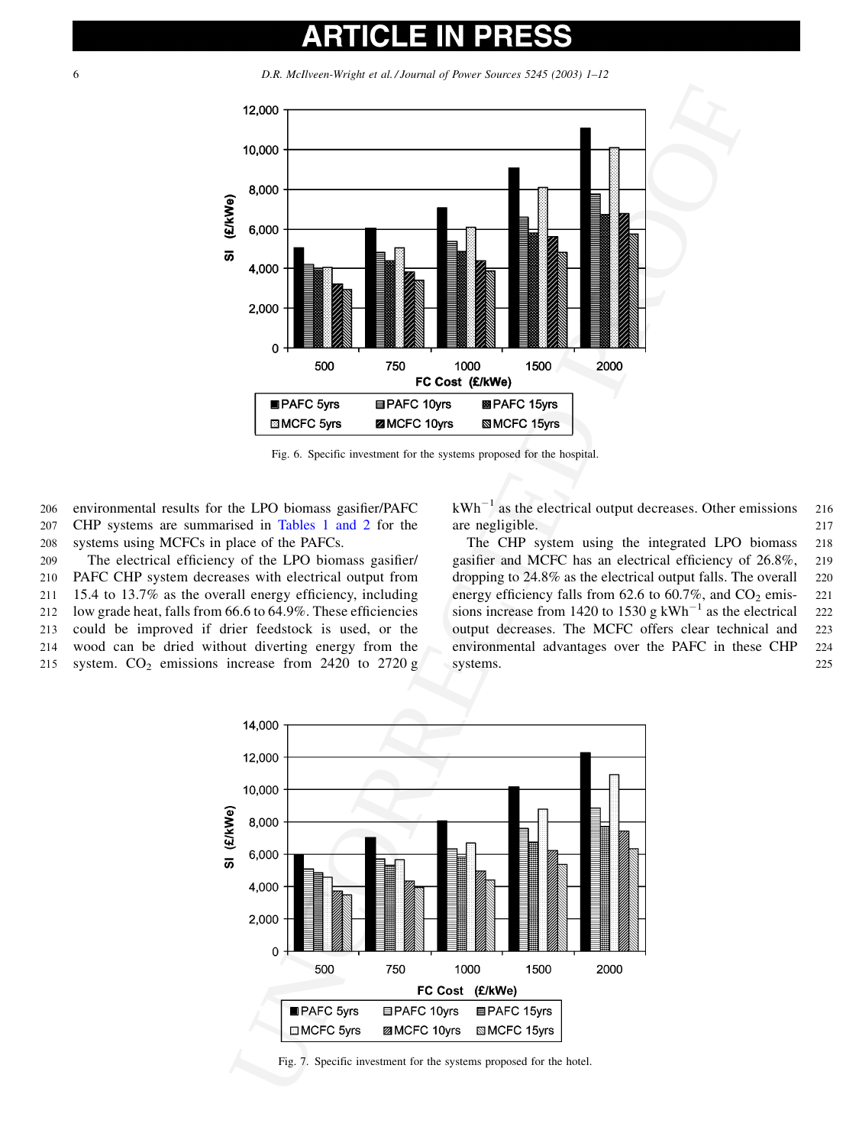<span id="page-5-0"></span>6 D.R. McIlveen-Wright et al. / Journal of Power Sources 5245 (2003) 1–12



Fig. 6. Specific investment for the systems proposed for the hospital.

206 environmental results for the LPO biomass gasifier/PAFC 207 CHP systems are summarised in Tables 1 and 2 for the 208 systems using MCFCs in place of the PAFCs.

209 The electrical efficiency of the LPO biomass gasifier/ 210 PAFC CHP system decreases with electrical output from 211 15.4 to 13.7% as the overall energy efficiency, including

212 low grade heat, falls from 66.6 to 64.9%. These efficiencies 213 could be improved if drier feedstock is used, or the

214 wood can be dried without diverting energy from the

215 system.  $CO<sub>2</sub>$  emissions increase from 2420 to 2720 g

 $kWh^{-1}$  as the electrical output decreases. Other emissions 216 are negligible. 217

The CHP system using the integrated LPO biomass 218 gasifier and MCFC has an electrical efficiency of 26.8%, 219 dropping to 24.8% as the electrical output falls. The overall 220 energy efficiency falls from  $62.6$  to  $60.7\%$ , and  $CO<sub>2</sub>$  emis- 221 sions increase from 1420 to 1530 g  $kWh^{-1}$  as the electrical 222 output decreases. The MCFC offers clear technical and 223 environmental advantages over the PAFC in these CHP 224 systems. 225



Fig. 7. Specific investment for the systems proposed for the hotel.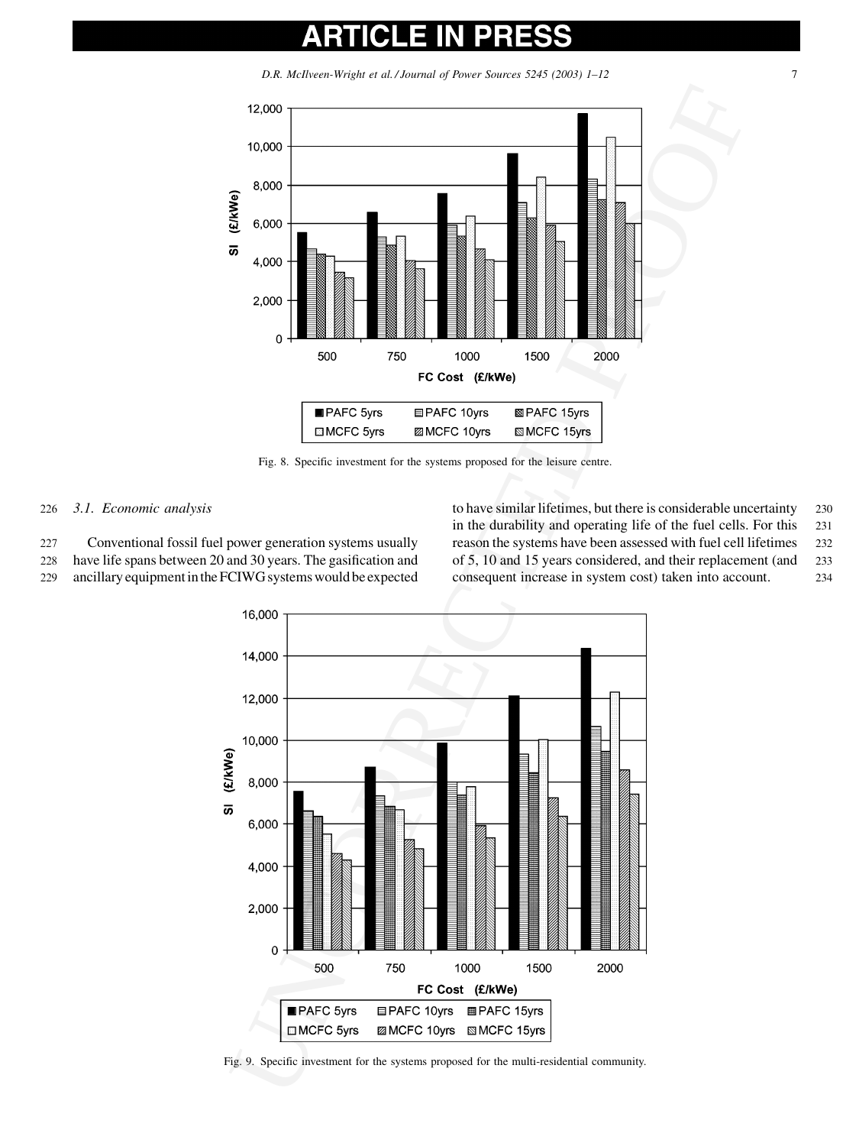D.R. McIlveen-Wright et al. / Journal of Power Sources 5245 (2003) 1–12 7



Fig. 8. Specific investment for the systems proposed for the leisure centre.

### 226 3.1. Economic analysis

227 Conventional fossil fuel power generation systems usually

228 have life spans between 20 and 30 years. The gasification and

229 ancillary equipment in the FCIWG systems would be expected

to have similar lifetimes, but there is considerable uncertainty 230 in the durability and operating life of the fuel cells. For this 231 reason the systems have been assessed with fuel cell lifetimes 232 of 5, 10 and 15 years considered, and their replacement (and 233 consequent increase in system cost) taken into account. 234



Fig. 9. Specific investment for the systems proposed for the multi-residential community.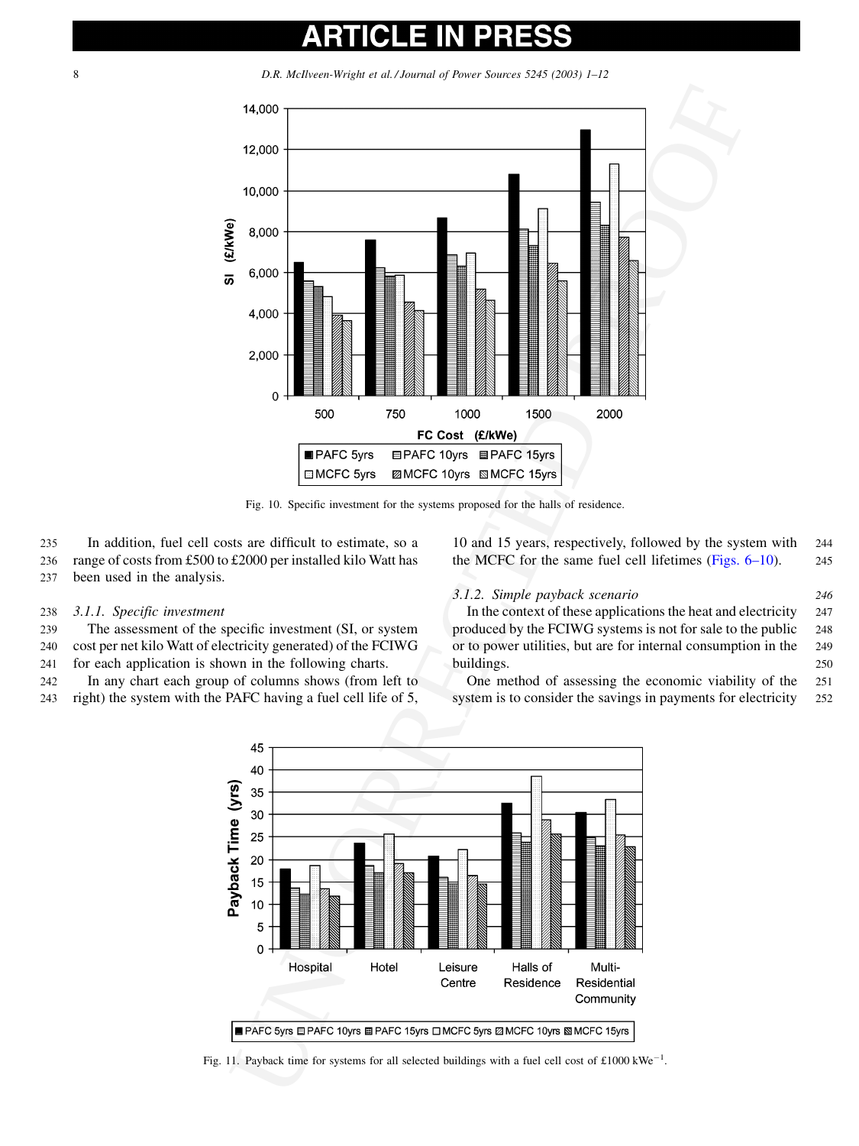<span id="page-7-0"></span>8 D.R. McIlveen-Wright et al. / Journal of Power Sources 5245 (2003) 1–12



Fig. 10. Specific investment for the systems proposed for the halls of residence.

235 In addition, fuel cell costs are difficult to estimate, so a 236 range of costs from £500 to £2000 per installed kilo Watt has 237 been used in the analysis.

### 238 3.1.1. Specific investment

239 The assessment of the specific investment (SI, or system 240 cost per net kilo Watt of electricity generated) of the FCIWG 241 for each application is shown in the following charts.

242 In any chart each group of columns shows (from left to

243 right) the system with the PAFC having a fuel cell life of 5,

10 and 15 years, respectively, followed by the system with 244 the MCFC for the same fuel cell lifetimes ( $Figs. 6-10$ ). 245

### 3.1.2. Simple payback scenario 246

In the context of these applications the heat and electricity 247 produced by the FCIWG systems is not for sale to the public 248 or to power utilities, but are for internal consumption in the 249 buildings. 250

One method of assessing the economic viability of the 251 system is to consider the savings in payments for electricity 252

![](_page_7_Figure_14.jpeg)

Fig. 11. Payback time for systems for all selected buildings with a fuel cell cost of £1000 kWe<sup>-1</sup>.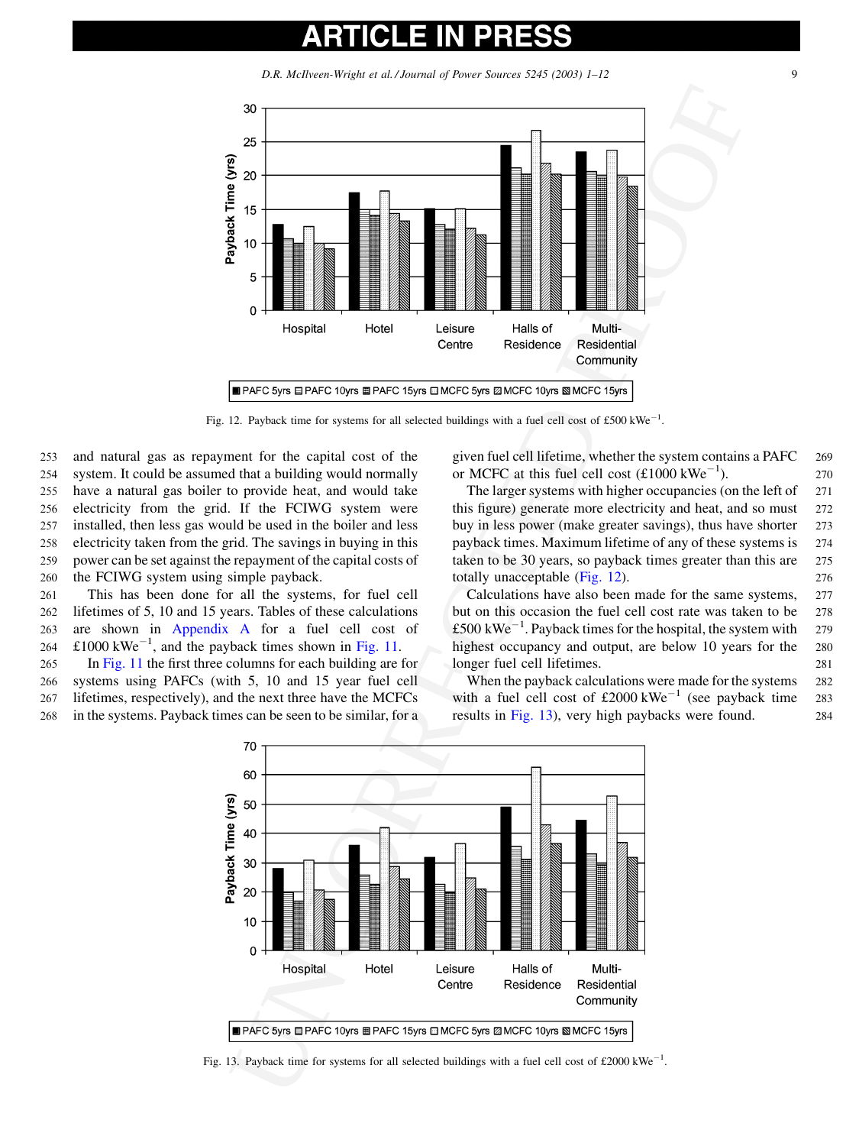D.R. McIlveen-Wright et al. / Journal of Power Sources 5245 (2003) 1–12 9

![](_page_8_Figure_2.jpeg)

Fig. 12. Payback time for systems for all selected buildings with a fuel cell cost of £500 kWe<sup>-1</sup>.

 and natural gas as repayment for the capital cost of the system. It could be assumed that a building would normally have a natural gas boiler to provide heat, and would take electricity from the grid. If the FCIWG system were installed, then less gas would be used in the boiler and less electricity taken from the grid. The savings in buying in this power can be set against the repayment of the capital costs of the FCIWG system using simple payback.

 This has been done for all the systems, for fuel cell lifetimes of 5, 10 and 15 years. Tables of these calculations are shown in [Appendix A](#page-11-0) for a fuel cell cost of  $\pm 1000$  kWe<sup>-1</sup>, and the payback times shown in Fig. 11.

 In [Fig. 11](#page-7-0) the first three columns for each building are for systems using PAFCs (with 5, 10 and 15 year fuel cell lifetimes, respectively), and the next three have the MCFCs in the systems. Payback times can be seen to be similar, for a given fuel cell lifetime, whether the system contains a PAFC 269 or MCFC at this fuel cell cost  $(\text{\pounds}1000 \text{ kWe}^{-1})$ . 270

The larger systems with higher occupancies (on the left of 271 this figure) generate more electricity and heat, and so must 272 buy in less power (make greater savings), thus have shorter 273 payback times. Maximum lifetime of any of these systems is 274 taken to be 30 years, so payback times greater than this are 275 totally unacceptable (Fig. 12). 276

Calculations have also been made for the same systems, 277 but on this occasion the fuel cell cost rate was taken to be 278 £500 kWe<sup>-1</sup>. Payback times for the hospital, the system with  $279$ highest occupancy and output, are below 10 years for the 280 longer fuel cell lifetimes. 281

When the payback calculations were made for the systems 282 with a fuel cell cost of  $£2000 \text{ kWe}^{-1}$  (see payback time 283 results in Fig. 13), very high paybacks were found. 284

![](_page_8_Figure_11.jpeg)

Fig. 13. Payback time for systems for all selected buildings with a fuel cell cost of £2000 kWe<sup>-1</sup>.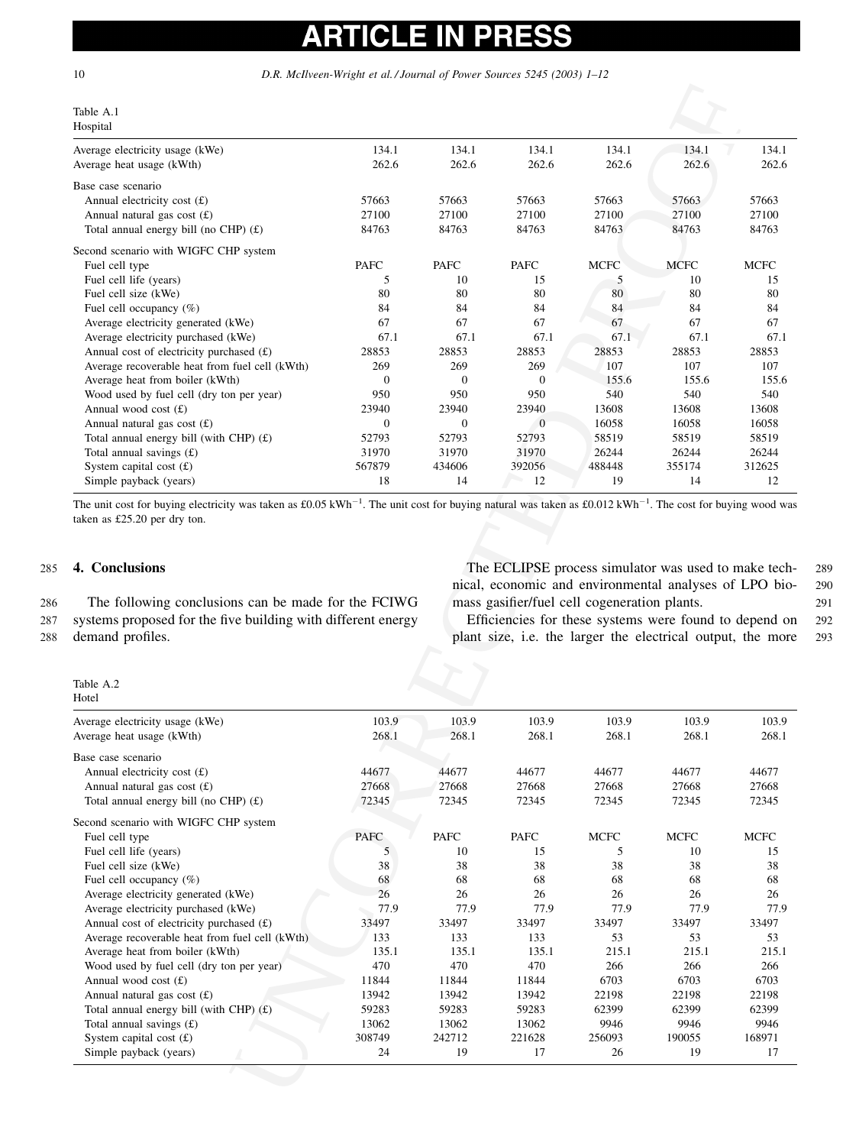### P IN E S  $\bullet$

<span id="page-9-0"></span>10 D.R. McIlveen-Wright et al. / Journal of Power Sources 5245 (2003) 1–12

### Table A.1 Hospital

| Average electricity usage (kWe)<br>Average heat usage (kWth) | 134.1<br>262.6 | 134.1<br>262.6 | 134.1<br>262.6 | 134.1<br>262.6 | 134.1<br>262.6 | 134.1<br>262.6 |
|--------------------------------------------------------------|----------------|----------------|----------------|----------------|----------------|----------------|
| Base case scenario                                           |                |                |                |                |                |                |
| Annual electricity cost $(f)$                                | 57663          | 57663          | 57663          | 57663          | 57663          | 57663          |
| Annual natural gas cost $(f)$                                | 27100          | 27100          | 27100          | 27100          | 27100          | 27100          |
| Total annual energy bill (no CHP) $(E)$                      | 84763          | 84763          | 84763          | 84763          | 84763          | 84763          |
| Second scenario with WIGFC CHP system                        |                |                |                |                |                |                |
| Fuel cell type                                               | PAFC           | PAFC           | PAFC           | <b>MCFC</b>    | <b>MCFC</b>    | <b>MCFC</b>    |
| Fuel cell life (years)                                       | 5              | 10             | 15             | 5              | 10             | 15             |
| Fuel cell size (kWe)                                         | 80             | 80             | 80             | 80             | 80             | 80             |
| Fuel cell occupancy $(\%)$                                   | 84             | 84             | 84             | 84             | 84             | 84             |
| Average electricity generated (kWe)                          | 67             | 67             | 67             | 67             | 67             | 67             |
| Average electricity purchased (kWe)                          | 67.1           | 67.1           | 67.1           | 67.1           | 67.1           | 67.1           |
| Annual cost of electricity purchased $(E)$                   | 28853          | 28853          | 28853          | 28853          | 28853          | 28853          |
| Average recoverable heat from fuel cell (kWth)               | 269            | 269            | 269            | 107            | 107            | 107            |
| Average heat from boiler (kWth)                              | $\Omega$       | $\Omega$       | $\Omega$       | 155.6          | 155.6          | 155.6          |
| Wood used by fuel cell (dry ton per year)                    | 950            | 950            | 950            | 540            | 540            | 540            |
| Annual wood cost $(f)$                                       | 23940          | 23940          | 23940          | 13608          | 13608          | 13608          |
| Annual natural gas cost $(f)$                                | $\theta$       | $\Omega$       | $\mathbf{0}$   | 16058          | 16058          | 16058          |
| Total annual energy bill (with CHP) $(E)$                    | 52793          | 52793          | 52793          | 58519          | 58519          | 58519          |
| Total annual savings $(f)$                                   | 31970          | 31970          | 31970          | 26244          | 26244          | 26244          |
| System capital cost $(f)$                                    | 567879         | 434606         | 392056         | 488448         | 355174         | 312625         |
| Simple payback (years)                                       | 18             | 14             | 12             | 19             | 14             | 12             |
|                                                              |                |                |                |                |                |                |

### 285 4. Conclusions

286 The following conclusions can be made for the FCIWG 287 systems proposed for the five building with different energy 288 demand profiles.

The ECLIPSE process simulator was used to make tech- 289 nical, economic and environmental analyses of LPO bio- 290 mass gasifier/fuel cell cogeneration plants. 291

Efficiencies for these systems were found to depend on 292 plant size, i.e. the larger the electrical output, the more 293

### Table A.2  $H_{\alpha\beta\alpha}$

| Table A.1                                                                                                                                                             |                       |                       |                                              |                |                                                                                                                                                                        |                                         |
|-----------------------------------------------------------------------------------------------------------------------------------------------------------------------|-----------------------|-----------------------|----------------------------------------------|----------------|------------------------------------------------------------------------------------------------------------------------------------------------------------------------|-----------------------------------------|
| Hospital                                                                                                                                                              |                       |                       |                                              |                |                                                                                                                                                                        |                                         |
| Average electricity usage (kWe)<br>Average heat usage (kWth)                                                                                                          | 134.1<br>262.6        | 134.1<br>262.6        | 134.1<br>262.6                               | 134.1<br>262.6 | 134.1<br>262.6                                                                                                                                                         | 134.1<br>262.6                          |
| Base case scenario                                                                                                                                                    |                       |                       |                                              |                |                                                                                                                                                                        |                                         |
| Annual electricity cost $(E)$                                                                                                                                         | 57663                 | 57663                 | 57663                                        | 57663          | 57663                                                                                                                                                                  | 57663                                   |
| Annual natural gas cost $(f)$                                                                                                                                         | 27100                 | 27100                 | 27100                                        | 27100          | 27100                                                                                                                                                                  | 27100                                   |
| Total annual energy bill (no CHP) $(f)$                                                                                                                               | 84763                 | 84763                 | 84763                                        | 84763          | 84763                                                                                                                                                                  | 84763                                   |
| Second scenario with WIGFC CHP system                                                                                                                                 |                       |                       |                                              |                |                                                                                                                                                                        |                                         |
| Fuel cell type                                                                                                                                                        | PAFC                  | PAFC                  | PAFC                                         | <b>MCFC</b>    | <b>MCFC</b>                                                                                                                                                            | <b>MCFC</b>                             |
| Fuel cell life (years)<br>Fuel cell size (kWe)                                                                                                                        | 5<br>80               | 10<br>80              | 15<br>80                                     | 5<br>80        | 10<br>80                                                                                                                                                               | 15<br>80                                |
| Fuel cell occupancy (%)                                                                                                                                               | 84                    | 84                    | 84                                           | 84             | 84                                                                                                                                                                     | 84                                      |
| Average electricity generated (kWe)                                                                                                                                   | 67                    | 67                    | 67                                           | 67             | 67                                                                                                                                                                     | 67                                      |
| Average electricity purchased (kWe)                                                                                                                                   | 67.1                  | 67.1                  | 67.1                                         | 67.1           | 67.1                                                                                                                                                                   | 67.1                                    |
| Annual cost of electricity purchased $(E)$                                                                                                                            | 28853                 | 28853                 | 28853                                        | 28853          | 28853                                                                                                                                                                  | 28853                                   |
| Average recoverable heat from fuel cell (kWth)                                                                                                                        | 269                   | 269                   | 269                                          | 107            | 107                                                                                                                                                                    | 107                                     |
| Average heat from boiler (kWth)                                                                                                                                       | $\mathbf{0}$          | $\mathbf{0}$          | $\boldsymbol{0}$                             | 155.6          | 155.6                                                                                                                                                                  | 155.6                                   |
| Wood used by fuel cell (dry ton per year)                                                                                                                             | 950                   | 950                   | 950                                          | 540            | 540                                                                                                                                                                    | 540                                     |
| Annual wood cost $(f)$<br>Annual natural gas cost $(f)$                                                                                                               | 23940<br>$\mathbf{0}$ | 23940<br>$\mathbf{0}$ | 23940<br>$\mathbf{0}$                        | 13608<br>16058 | 13608<br>16058                                                                                                                                                         | 13608<br>16058                          |
| Total annual energy bill (with CHP) $(f)$                                                                                                                             | 52793                 | 52793                 | 52793                                        | 58519          | 58519                                                                                                                                                                  | 58519                                   |
| Total annual savings $(f)$                                                                                                                                            | 31970                 | 31970                 | 31970                                        | 26244          | 26244                                                                                                                                                                  | 26244                                   |
| System capital cost $(f)$                                                                                                                                             | 567879                | 434606                | 392056                                       | 488448         | 355174                                                                                                                                                                 | 312625                                  |
| Simple payback (years)                                                                                                                                                | 18                    | 14                    | 12                                           | 19             | 14                                                                                                                                                                     | 12                                      |
| taken as £25.20 per dry ton.<br>4. Conclusions<br>The following conclusions can be made for the FCIWG<br>systems proposed for the five building with different energy |                       |                       | mass gasifier/fuel cell cogeneration plants. |                | The ECLIPSE process simulator was used to make tech<br>nical, economic and environmental analyses of LPO bio<br>Efficiencies for these systems were found to depend on |                                         |
| demand profiles.<br>Table A.2                                                                                                                                         |                       |                       |                                              |                | plant size, i.e. the larger the electrical output, the more                                                                                                            |                                         |
| Hotel                                                                                                                                                                 |                       |                       |                                              |                |                                                                                                                                                                        |                                         |
| Average electricity usage (kWe)<br>Average heat usage (kWth)                                                                                                          | 103.9<br>268.1        | 103.9<br>268.1        | 103.9<br>268.1                               | 103.9<br>268.1 | 103.9<br>268.1                                                                                                                                                         |                                         |
| Base case scenario                                                                                                                                                    |                       |                       |                                              |                |                                                                                                                                                                        |                                         |
| Annual electricity cost $(f)$                                                                                                                                         | 44677                 | 44677                 | 44677                                        | 44677          | 44677                                                                                                                                                                  | 44677                                   |
| Annual natural gas cost (£)                                                                                                                                           | 27668                 | 27668                 | 27668                                        | 27668          | 27668                                                                                                                                                                  | 27668                                   |
| Total annual energy bill (no CHP) $(f)$                                                                                                                               | 72345                 | 72345                 | 72345                                        | 72345          | 72345                                                                                                                                                                  | 72345                                   |
| Second scenario with WIGFC CHP system                                                                                                                                 |                       |                       |                                              |                |                                                                                                                                                                        |                                         |
| Fuel cell type                                                                                                                                                        | PAFC                  | PAFC                  | PAFC                                         | <b>MCFC</b>    | <b>MCFC</b>                                                                                                                                                            | <b>MCFC</b>                             |
| Fuel cell life (years)                                                                                                                                                | 5                     | 10                    | 15                                           | 5              | 10                                                                                                                                                                     | 15                                      |
| Fuel cell size (kWe)                                                                                                                                                  | 38                    | 38                    | 38                                           | 38             | 38                                                                                                                                                                     | 38                                      |
| Fuel cell occupancy $(\%)$                                                                                                                                            | 68                    | 68                    | 68                                           | 68             | 68                                                                                                                                                                     | 68                                      |
| Average electricity generated (kWe)                                                                                                                                   | 26                    | 26                    | 26                                           | 26             | 26                                                                                                                                                                     | 26                                      |
| Average electricity purchased (kWe)<br>Annual cost of electricity purchased $(E)$                                                                                     | 77.9<br>33497         | 77.9<br>33497         | 77.9<br>33497                                | 77.9<br>33497  | 77.9<br>33497                                                                                                                                                          | 33497                                   |
| Average recoverable heat from fuel cell (kWth)                                                                                                                        | 133                   | 133                   | 133                                          | 53             | 53                                                                                                                                                                     | 53                                      |
| Average heat from boiler (kWth)                                                                                                                                       | 135.1                 | 135.1                 | 135.1                                        | 215.1          | 215.1                                                                                                                                                                  |                                         |
| Wood used by fuel cell (dry ton per year)                                                                                                                             | 470                   | 470                   | 470                                          | 266            | 266                                                                                                                                                                    | 266                                     |
| Annual wood cost $(f)$                                                                                                                                                | 11844                 | 11844                 | 11844                                        | 6703           | 6703                                                                                                                                                                   | 6703                                    |
| Annual natural gas cost $(E)$                                                                                                                                         | 13942                 | 13942                 | 13942                                        | 22198          | 22198                                                                                                                                                                  | 22198                                   |
| Total annual energy bill (with CHP) $(f)$                                                                                                                             | 59283                 | 59283                 | 59283                                        | 62399          | 62399                                                                                                                                                                  | 62399                                   |
| Total annual savings $(E)$                                                                                                                                            | 13062                 | 13062                 | 13062                                        | 9946           | 9946                                                                                                                                                                   | 103.9<br>268.1<br>77.9<br>215.1<br>9946 |
|                                                                                                                                                                       |                       |                       |                                              |                |                                                                                                                                                                        |                                         |
|                                                                                                                                                                       |                       |                       |                                              |                |                                                                                                                                                                        |                                         |
|                                                                                                                                                                       |                       |                       |                                              |                |                                                                                                                                                                        |                                         |
|                                                                                                                                                                       |                       |                       |                                              |                |                                                                                                                                                                        |                                         |
|                                                                                                                                                                       |                       |                       |                                              |                |                                                                                                                                                                        |                                         |
|                                                                                                                                                                       |                       |                       |                                              |                |                                                                                                                                                                        |                                         |
|                                                                                                                                                                       |                       |                       |                                              |                |                                                                                                                                                                        |                                         |
|                                                                                                                                                                       |                       |                       |                                              |                |                                                                                                                                                                        |                                         |
|                                                                                                                                                                       |                       |                       |                                              |                |                                                                                                                                                                        |                                         |
|                                                                                                                                                                       |                       |                       |                                              |                |                                                                                                                                                                        |                                         |
|                                                                                                                                                                       |                       |                       |                                              |                |                                                                                                                                                                        |                                         |
|                                                                                                                                                                       |                       |                       |                                              |                |                                                                                                                                                                        |                                         |
|                                                                                                                                                                       |                       |                       |                                              |                |                                                                                                                                                                        |                                         |
|                                                                                                                                                                       |                       |                       |                                              |                |                                                                                                                                                                        |                                         |
| System capital cost $(f)$<br>Simple payback (years)                                                                                                                   | 308749<br>24          | 242712<br>19          | 221628<br>17                                 | 256093<br>26   | 190055<br>19                                                                                                                                                           | 168971<br>17                            |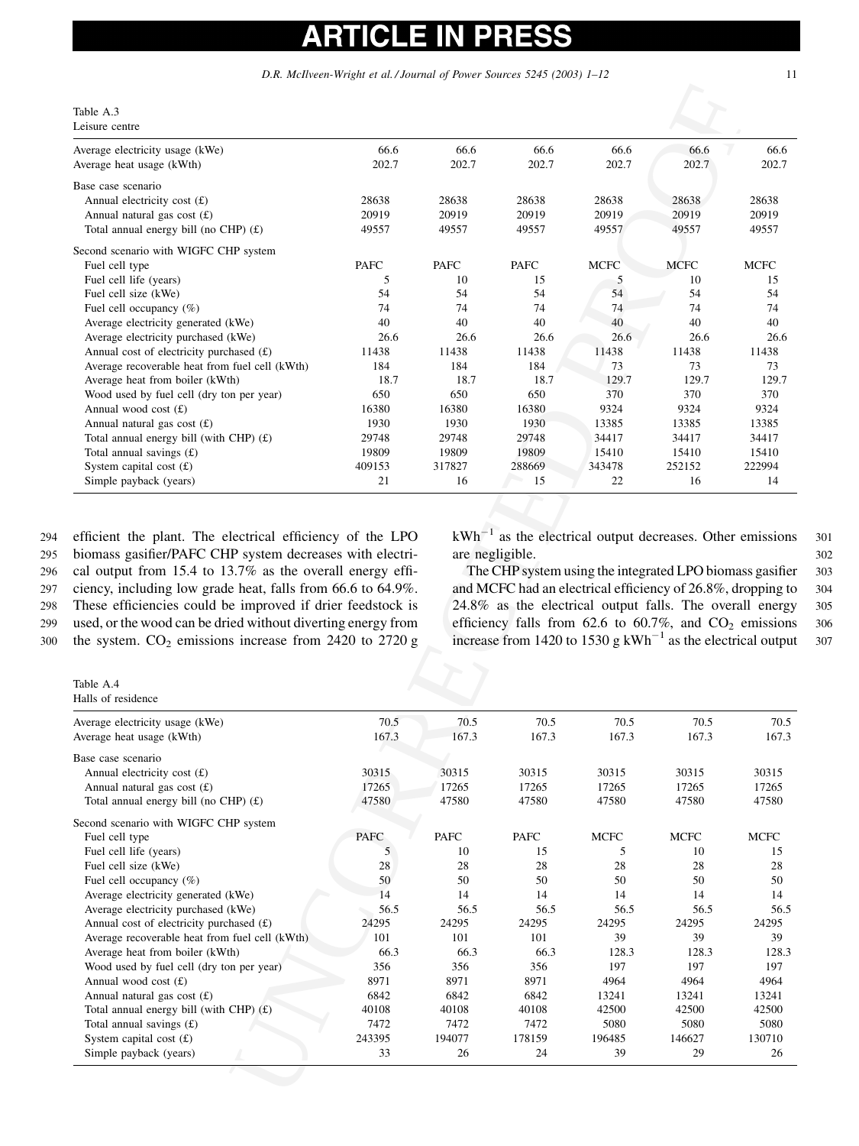### P E CI

D.R. McIlveen-Wright et al. / Journal of Power Sources 5245 (2003) 1–12 11

### Table A.3 Leisure centre

| Average electricity usage (kWe)                | 66.6   | 66.6   | 66.6   | 66.6        | 66.6        | 66.6        |
|------------------------------------------------|--------|--------|--------|-------------|-------------|-------------|
| Average heat usage (kWth)                      | 202.7  | 202.7  | 202.7  | 202.7       | 202.7       | 202.7       |
| Base case scenario                             |        |        |        |             |             |             |
| Annual electricity cost $(f)$                  | 28638  | 28638  | 28638  | 28638       | 28638       | 28638       |
| Annual natural gas cost $(f)$                  | 20919  | 20919  | 20919  | 20919       | 20919       | 20919       |
| Total annual energy bill (no CHP) $(f)$        | 49557  | 49557  | 49557  | 49557       | 49557       | 49557       |
| Second scenario with WIGFC CHP system          |        |        |        |             |             |             |
| Fuel cell type                                 | PAFC   | PAFC   | PAFC   | <b>MCFC</b> | <b>MCFC</b> | <b>MCFC</b> |
| Fuel cell life (years)                         | 5      | 10     | 15     | 5           | 10          | 15          |
| Fuel cell size (kWe)                           | 54     | 54     | 54     | 54          | 54          | 54          |
| Fuel cell occupancy $(\%)$                     | 74     | 74     | 74     | 74          | 74          | 74          |
| Average electricity generated (kWe)            | 40     | 40     | 40     | 40          | 40          | 40          |
| Average electricity purchased (kWe)            | 26.6   | 26.6   | 26.6   | 26.6        | 26.6        | 26.6        |
| Annual cost of electricity purchased $(E)$     | 11438  | 11438  | 11438  | 11438       | 11438       | 11438       |
| Average recoverable heat from fuel cell (kWth) | 184    | 184    | 184    | 73          | 73          | 73          |
| Average heat from boiler (kWth)                | 18.7   | 18.7   | 18.7   | 129.7       | 129.7       | 129.7       |
| Wood used by fuel cell (dry ton per year)      | 650    | 650    | 650    | 370         | 370         | 370         |
| Annual wood cost $(f)$                         | 16380  | 16380  | 16380  | 9324        | 9324        | 9324        |
| Annual natural gas cost $(f)$                  | 1930   | 1930   | 1930   | 13385       | 13385       | 13385       |
| Total annual energy bill (with CHP) $(f)$      | 29748  | 29748  | 29748  | 34417       | 34417       | 34417       |
| Total annual savings $(f)$                     | 19809  | 19809  | 19809  | 15410       | 15410       | 15410       |
| System capital cost $(E)$                      | 409153 | 317827 | 288669 | 343478      | 252152      | 222994      |
| Simple payback (years)                         | 21     | 16     | 15     | 22          | 16          | 14          |

294 efficient the plant. The electrical efficiency of the LPO 295 biomass gasifier/PAFC CHP system decreases with electri-

296 cal output from 15.4 to 13.7% as the overall energy effi-

297 ciency, including low grade heat, falls from 66.6 to 64.9%.

298 These efficiencies could be improved if drier feedstock is

299 used, or the wood can be dried without diverting energy from

 $300$  the system.  $CO<sub>2</sub>$  emissions increase from 2420 to 2720 g

 $kWh^{-1}$  as the electrical output decreases. Other emissions 301 are negligible.  $302$ 

The CHP system using the integrated LPO biomass gasifier 303 and MCFC had an electrical efficiency of 26.8%, dropping to 304 24.8% as the electrical output falls. The overall energy 305 efficiency falls from 62.6 to 60.7%, and  $CO_2$  emissions 306 increase from 1420 to 1530 g  $kWh^{-1}$  as the electrical output 307

### Table A.4 Halls of residence

| Leisure centre                                                                                                                                                                                                                                                                                                                                                                  |               |               |                 |                                                                                                                                                                                                                                                                                                                   |               |                        |
|---------------------------------------------------------------------------------------------------------------------------------------------------------------------------------------------------------------------------------------------------------------------------------------------------------------------------------------------------------------------------------|---------------|---------------|-----------------|-------------------------------------------------------------------------------------------------------------------------------------------------------------------------------------------------------------------------------------------------------------------------------------------------------------------|---------------|------------------------|
| Average electricity usage (kWe)<br>Average heat usage (kWth)                                                                                                                                                                                                                                                                                                                    | 66.6<br>202.7 | 66.6<br>202.7 | 66.6<br>202.7   | 66.6<br>202.7                                                                                                                                                                                                                                                                                                     | 66.6<br>202.7 | 66.6<br>202.7          |
| Base case scenario                                                                                                                                                                                                                                                                                                                                                              |               |               |                 |                                                                                                                                                                                                                                                                                                                   |               |                        |
| Annual electricity cost $(f)$                                                                                                                                                                                                                                                                                                                                                   | 28638         | 28638         | 28638           | 28638                                                                                                                                                                                                                                                                                                             | 28638         | 28638                  |
| Annual natural gas cost $(E)$                                                                                                                                                                                                                                                                                                                                                   | 20919         | 20919         | 20919           | 20919                                                                                                                                                                                                                                                                                                             | 20919         | 20919                  |
| Total annual energy bill (no CHP) (£)                                                                                                                                                                                                                                                                                                                                           | 49557         | 49557         | 49557           | 49557                                                                                                                                                                                                                                                                                                             | 49557         | 49557                  |
| Second scenario with WIGFC CHP system                                                                                                                                                                                                                                                                                                                                           |               |               |                 |                                                                                                                                                                                                                                                                                                                   |               |                        |
| Fuel cell type                                                                                                                                                                                                                                                                                                                                                                  | PAFC          | PAFC          | PAFC            | <b>MCFC</b>                                                                                                                                                                                                                                                                                                       | <b>MCFC</b>   | <b>MCFC</b>            |
| Fuel cell life (years)                                                                                                                                                                                                                                                                                                                                                          | 5             | 10            | 15              | 5                                                                                                                                                                                                                                                                                                                 | 10            | 15                     |
| Fuel cell size (kWe)                                                                                                                                                                                                                                                                                                                                                            | 54            | 54            | 54              | 54                                                                                                                                                                                                                                                                                                                | 54            | 54                     |
| Fuel cell occupancy (%)                                                                                                                                                                                                                                                                                                                                                         | 74            | 74            | 74              | 74                                                                                                                                                                                                                                                                                                                | 74            | 74                     |
| Average electricity generated (kWe)                                                                                                                                                                                                                                                                                                                                             | 40            | 40            | 40              | 40                                                                                                                                                                                                                                                                                                                | 40            | 40                     |
| Average electricity purchased (kWe)<br>Annual cost of electricity purchased $(E)$                                                                                                                                                                                                                                                                                               | 26.6<br>11438 | 26.6<br>11438 | 26.6<br>11438   | 26.6<br>11438                                                                                                                                                                                                                                                                                                     | 26.6<br>11438 | 26.6<br>11438          |
| Average recoverable heat from fuel cell (kWth)                                                                                                                                                                                                                                                                                                                                  | 184           | 184           | 184             | 73                                                                                                                                                                                                                                                                                                                | 73            | 73                     |
| Average heat from boiler (kWth)                                                                                                                                                                                                                                                                                                                                                 | 18.7          | 18.7          | 18.7            | 129.7                                                                                                                                                                                                                                                                                                             | 129.7         | 129.7                  |
| Wood used by fuel cell (dry ton per year)                                                                                                                                                                                                                                                                                                                                       | 650           | 650           | 650             | 370                                                                                                                                                                                                                                                                                                               | 370           | 370                    |
| Annual wood cost $(f)$                                                                                                                                                                                                                                                                                                                                                          | 16380         | 16380         | 16380           | 9324                                                                                                                                                                                                                                                                                                              | 9324          | 9324                   |
| Annual natural gas cost $(f)$                                                                                                                                                                                                                                                                                                                                                   | 1930          | 1930          | 1930            | 13385                                                                                                                                                                                                                                                                                                             | 13385         | 13385                  |
| Total annual energy bill (with CHP) $(f)$                                                                                                                                                                                                                                                                                                                                       | 29748         | 29748         | 29748           | 34417                                                                                                                                                                                                                                                                                                             | 34417         | 34417                  |
| Total annual savings $(E)$                                                                                                                                                                                                                                                                                                                                                      | 19809         | 19809         | 19809           | 15410                                                                                                                                                                                                                                                                                                             | 15410         | 15410                  |
| System capital cost $(f)$                                                                                                                                                                                                                                                                                                                                                       | 409153        | 317827        | 288669          | 343478                                                                                                                                                                                                                                                                                                            | 252152        | 222994                 |
| Simple payback (years)                                                                                                                                                                                                                                                                                                                                                          | 21            | 16            | 15              | 22                                                                                                                                                                                                                                                                                                                | 16            | 14                     |
| efficient the plant. The electrical efficiency of the LPO<br>biomass gasifier/PAFC CHP system decreases with electri-<br>cal output from 15.4 to 13.7% as the overall energy effi-<br>ciency, including low grade heat, falls from 66.6 to 64.9%.<br>These efficiencies could be improved if drier feedstock is<br>used, or the wood can be dried without diverting energy from |               |               | are negligible. | $kWh^{-1}$ as the electrical output decreases. Other emissions<br>The CHP system using the integrated LPO biomass gasifier<br>and MCFC had an electrical efficiency of 26.8%, dropping to<br>24.8% as the electrical output falls. The overall energy<br>efficiency falls from 62.6 to 60.7%, and $CO2$ emissions |               |                        |
| Table A.4                                                                                                                                                                                                                                                                                                                                                                       |               |               |                 | increase from 1420 to 1530 g $kWh^{-1}$ as the electrical outpu                                                                                                                                                                                                                                                   |               |                        |
|                                                                                                                                                                                                                                                                                                                                                                                 |               |               |                 |                                                                                                                                                                                                                                                                                                                   |               |                        |
|                                                                                                                                                                                                                                                                                                                                                                                 | 70.5<br>167.3 | 70.5<br>167.3 | 70.5<br>167.3   | 70.5<br>167.3                                                                                                                                                                                                                                                                                                     | 70.5<br>167.3 |                        |
| Halls of residence<br>Average electricity usage (kWe)<br>Base case scenario                                                                                                                                                                                                                                                                                                     |               |               |                 |                                                                                                                                                                                                                                                                                                                   |               |                        |
| Annual electricity cost $(f)$                                                                                                                                                                                                                                                                                                                                                   | 30315         | 30315         | 30315           | 30315                                                                                                                                                                                                                                                                                                             | 30315         | 30315                  |
| Annual natural gas cost $(f)$                                                                                                                                                                                                                                                                                                                                                   | 17265         | 17265         | 17265           | 17265                                                                                                                                                                                                                                                                                                             | 17265         | 17265                  |
| Total annual energy bill (no CHP) $(f)$                                                                                                                                                                                                                                                                                                                                         | 47580         | 47580         | 47580           | 47580                                                                                                                                                                                                                                                                                                             | 47580         | 70.5<br>167.3<br>47580 |
|                                                                                                                                                                                                                                                                                                                                                                                 |               |               |                 |                                                                                                                                                                                                                                                                                                                   |               |                        |
| Fuel cell type                                                                                                                                                                                                                                                                                                                                                                  | PAFC          | PAFC          | PAFC            | <b>MCFC</b>                                                                                                                                                                                                                                                                                                       | <b>MCFC</b>   | <b>MCFC</b>            |
| Fuel cell life (years)                                                                                                                                                                                                                                                                                                                                                          | 5             | 10            | 15              | 5                                                                                                                                                                                                                                                                                                                 | 10            | 15                     |
| Fuel cell size (kWe)                                                                                                                                                                                                                                                                                                                                                            | 28            | 28            | 28              | 28                                                                                                                                                                                                                                                                                                                | 28            | 28                     |
| Fuel cell occupancy $(\%)$                                                                                                                                                                                                                                                                                                                                                      | 50            | 50            | 50              | 50                                                                                                                                                                                                                                                                                                                | 50            | 50                     |
| Average electricity generated (kWe)                                                                                                                                                                                                                                                                                                                                             | 14            | 14            | 14              | 14                                                                                                                                                                                                                                                                                                                | 14            | 14                     |
| Average electricity purchased (kWe)                                                                                                                                                                                                                                                                                                                                             | 56.5          | 56.5          | 56.5            | 56.5                                                                                                                                                                                                                                                                                                              | 56.5          |                        |
| Annual cost of electricity purchased $(E)$                                                                                                                                                                                                                                                                                                                                      | 24295         | 24295         | 24295           | 24295<br>39                                                                                                                                                                                                                                                                                                       | 24295<br>39   | 24295                  |
| Average recoverable heat from fuel cell (kWth)<br>Average heat from boiler (kWth)                                                                                                                                                                                                                                                                                               | 101<br>66.3   | 101<br>66.3   | 101<br>66.3     | 128.3                                                                                                                                                                                                                                                                                                             | 128.3         | 39                     |
| the system. $CO2$ emissions increase from 2420 to 2720 g<br>Average heat usage (kWth)<br>Second scenario with WIGFC CHP system<br>Wood used by fuel cell (dry ton per year)                                                                                                                                                                                                     | 356           | 356           | 356             | 197                                                                                                                                                                                                                                                                                                               | 197           | 56.5<br>128.3<br>197   |
| Annual wood cost $(f)$                                                                                                                                                                                                                                                                                                                                                          | 8971          | 8971          | 8971            | 4964                                                                                                                                                                                                                                                                                                              | 4964          | 4964                   |
| Annual natural gas cost $(E)$                                                                                                                                                                                                                                                                                                                                                   | 6842          | 6842          | 6842            | 13241                                                                                                                                                                                                                                                                                                             | 13241         | 13241                  |
| Total annual energy bill (with CHP) $(f)$                                                                                                                                                                                                                                                                                                                                       | 40108         | 40108         | 40108           | 42500                                                                                                                                                                                                                                                                                                             | 42500         | 42500                  |
| Total annual savings $(f)$                                                                                                                                                                                                                                                                                                                                                      | 7472          | 7472          | 7472            | 5080                                                                                                                                                                                                                                                                                                              | 5080          | 5080                   |
| System capital cost $(f)$<br>Simple payback (years)                                                                                                                                                                                                                                                                                                                             | 243395<br>33  | 194077<br>26  | 178159<br>24    | 196485<br>39                                                                                                                                                                                                                                                                                                      | 146627<br>29  | 130710<br>26           |